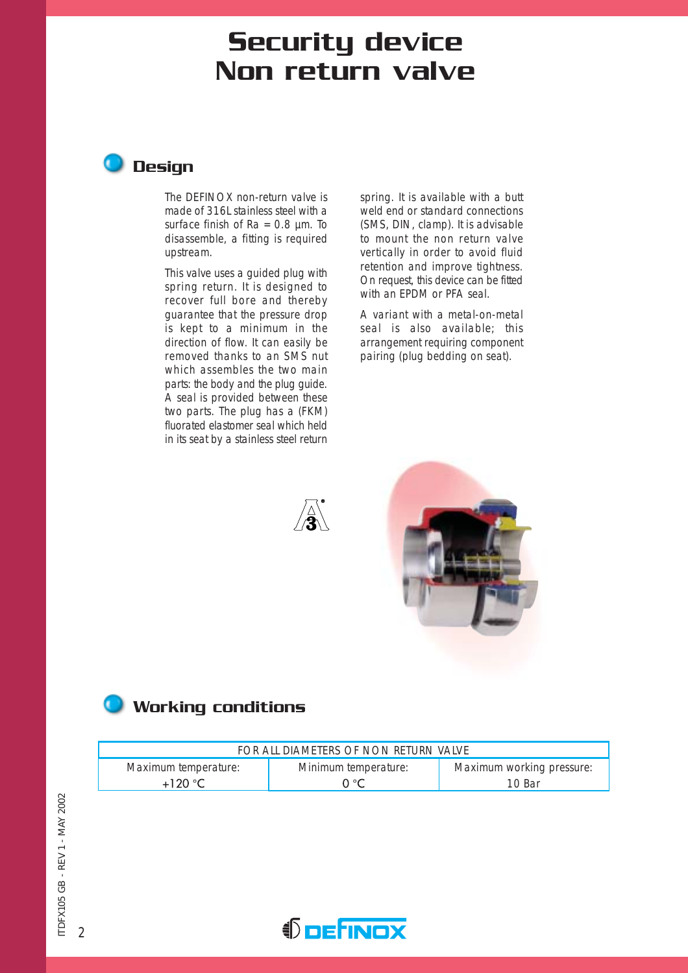# Security device Non return valve



The DEFINOX non-return valve is made of 316L stainless steel with a surface finish of  $Ra = 0.8 \mu m$ . To disassemble, a fitting is required upstream.

This valve uses a guided plug with spring return. It is designed to recover full bore and thereby guarantee that the pressure drop is kept to a minimum in the direction of flow. It can easily be removed thanks to an SMS nut which assembles the two main parts: the body and the plug guide. A seal is provided between these two parts. The plug has a (FKM) fluorated elastomer seal which held in its seat by a stainless steel return

spring. It is available with a butt weld end or standard connections (SMS, DIN, clamp). It is advisable to mount the non return valve vertically in order to avoid fluid retention and improve tightness. On request, this device can be fitted with an EPDM or PFA seal.

A variant with a metal-on-metal seal is also available; this arrangement requiring component pairing (plug bedding on seat).





## **Working conditions**

| FOR ALL DIAMETERS OF NON RETURN VALVE |                      |                           |  |  |  |  |  |
|---------------------------------------|----------------------|---------------------------|--|--|--|--|--|
| Maximum temperature:                  | Minimum temperature: | Maximum working pressure: |  |  |  |  |  |
| $+120 °C$                             | ∩∘∩                  | 10 Bar                    |  |  |  |  |  |

 $\overline{2}$ 

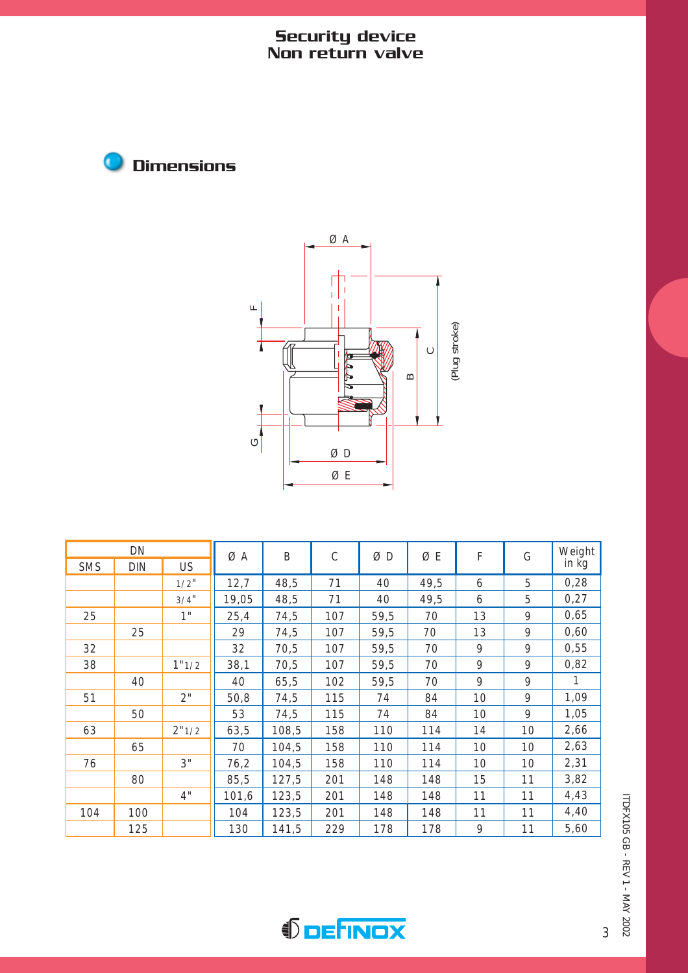#### Security device Non return valve





| DN         |            | ØΑ        | B     | $\mathsf{C}$ | ØΒ  | ØE   | F    | G  | Weight |       |
|------------|------------|-----------|-------|--------------|-----|------|------|----|--------|-------|
| <b>SMS</b> | <b>DIN</b> | <b>US</b> |       |              |     |      |      |    |        | in kg |
|            |            | $1/2$ "   | 12,7  | 48,5         | 71  | 40   | 49,5 | 6  | 5      | 0,28  |
|            |            | $3/4$ "   | 19,05 | 48,5         | 71  | 40   | 49,5 | 6  | 5      | 0,27  |
| 25         |            | 1"        | 25,4  | 74,5         | 107 | 59,5 | 70   | 13 | 9      | 0,65  |
|            | 25         |           | 29    | 74,5         | 107 | 59,5 | 70   | 13 | 9      | 0,60  |
| 32         |            |           | 32    | 70,5         | 107 | 59,5 | 70   | 9  | 9      | 0,55  |
| 38         |            | 1"1/2     | 38,1  | 70,5         | 107 | 59,5 | 70   | 9  | 9      | 0,82  |
|            | 40         |           | 40    | 65,5         | 102 | 59,5 | 70   | 9  | 9      |       |
| 51         |            | 2"        | 50,8  | 74,5         | 115 | 74   | 84   | 10 | 9      | 1,09  |
|            | 50         |           | 53    | 74,5         | 115 | 74   | 84   | 10 | 9      | 1,05  |
| 63         |            | 2"1/2     | 63,5  | 108,5        | 158 | 110  | 114  | 14 | 10     | 2,66  |
|            | 65         |           | 70    | 104,5        | 158 | 110  | 114  | 10 | 10     | 2,63  |
| 76         |            | 3"        | 76,2  | 104,5        | 158 | 110  | 114  | 10 | 10     | 2,31  |
|            | 80         |           | 85,5  | 127,5        | 201 | 148  | 148  | 15 | 11     | 3,82  |
|            |            | 4"        | 101,6 | 123,5        | 201 | 148  | 148  | 11 | 11     | 4,43  |
| 104        | 100        |           | 104   | 123,5        | 201 | 148  | 148  | 11 | 11     | 4,40  |
|            | 125        |           | 130   | 141,5        | 229 | 178  | 178  | 9  | 11     | 5,60  |

ITDFX105 GB - REV 1 - MAY 2002 ITDFX105 GB - REV 1 - MAY 2002



3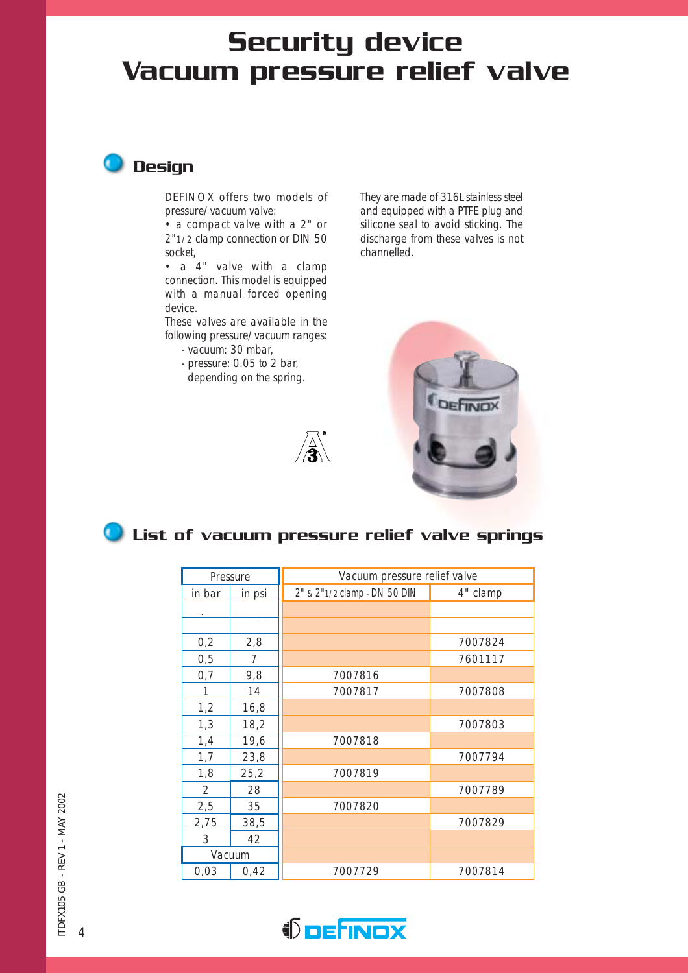# Security device Vacuum pressure relief valve



DEFINOX offers two models of pressure/vacuum valve:

• a compact valve with a 2" or 2"1/2 clamp connection or DIN 50 socket,

• a 4" valve with a clamp connection. This model is equipped with a manual forced opening device.

These valves are available in the following pressure/vacuum ranges:

- vacuum: 30 mbar,
- pressure: 0.05 to 2 bar, depending on the spring.



They are made of 316L stainless steel and equipped with a PTFE plug and silicone seal to avoid sticking. The discharge from these valves is not channelled.



## **O** List of vacuum pressure relief valve springs

|        | Pressure | Vacuum pressure relief valve |          |  |  |  |
|--------|----------|------------------------------|----------|--|--|--|
| in bar | in psi   | 2" & 2"1/2 clamp - DN 50 DIN | 4" clamp |  |  |  |
|        |          |                              |          |  |  |  |
|        |          |                              |          |  |  |  |
| 0,2    | 2,8      |                              | 7007824  |  |  |  |
| 0,5    | 7        |                              | 7601117  |  |  |  |
| 0,7    | 9,8      | 7007816                      |          |  |  |  |
| 1      | 14       | 7007817                      | 7007808  |  |  |  |
| 1,2    | 16,8     |                              |          |  |  |  |
| 1,3    | 18,2     |                              | 7007803  |  |  |  |
| 1,4    | 19,6     | 7007818                      |          |  |  |  |
| 1,7    | 23,8     |                              | 7007794  |  |  |  |
| 1,8    | 25,2     | 7007819                      |          |  |  |  |
| 2      | 28       |                              | 7007789  |  |  |  |
| 2,5    | 35       | 7007820                      |          |  |  |  |
| 2,75   | 38,5     |                              | 7007829  |  |  |  |
| 3      | 42       |                              |          |  |  |  |
|        | Vacuum   |                              |          |  |  |  |
| 0,03   | 0,42     | 7007729                      | 7007814  |  |  |  |

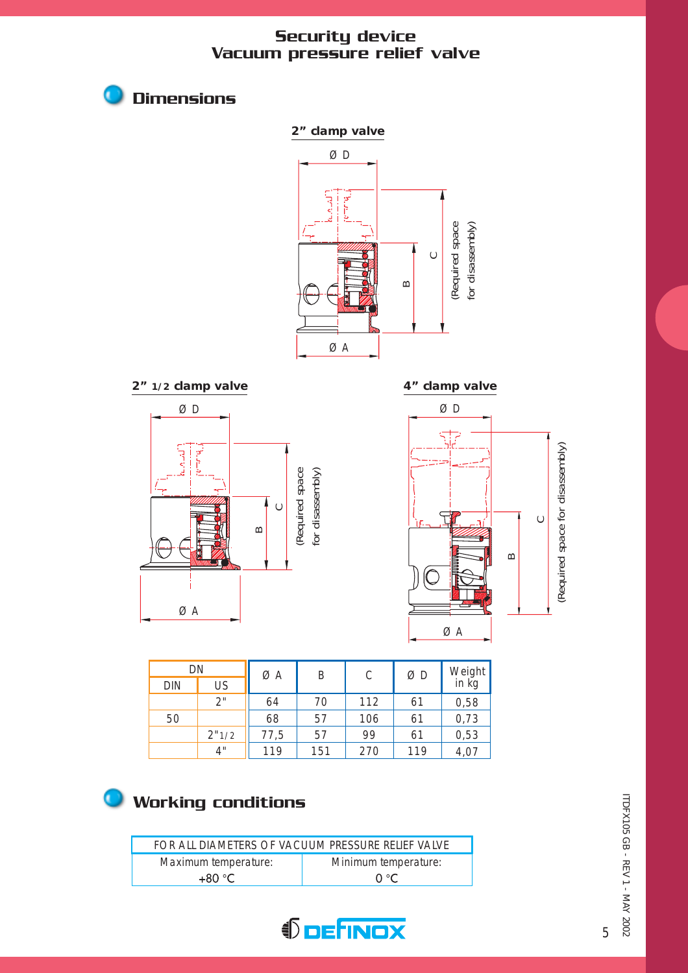#### Security device Vacuum pressure relief valve



DN DIN US  $\varnothing$ A B C  $\varnothing$ D 2" || 64 | 70 | 112 | 61 50 **68 57 106 61**  $2"1/2$  77,5 57 99 61 4" 119 151 270 119 0,58 0,73 0,53 4,07 Weight in kg

## Working conditions

Dimensions

G

| FOR ALL DIAMETERS OF VACUUM PRESSURE RELIEF VALVE |                      |  |  |  |  |  |
|---------------------------------------------------|----------------------|--|--|--|--|--|
| Maximum temperature:                              | Minimum temperature: |  |  |  |  |  |
| +80 °C.                                           | $\Omega$ °C          |  |  |  |  |  |



ITDFX105 GB - REV 1 - MAY 2002 ITDFX105 GB - REV 1 - MAY 2002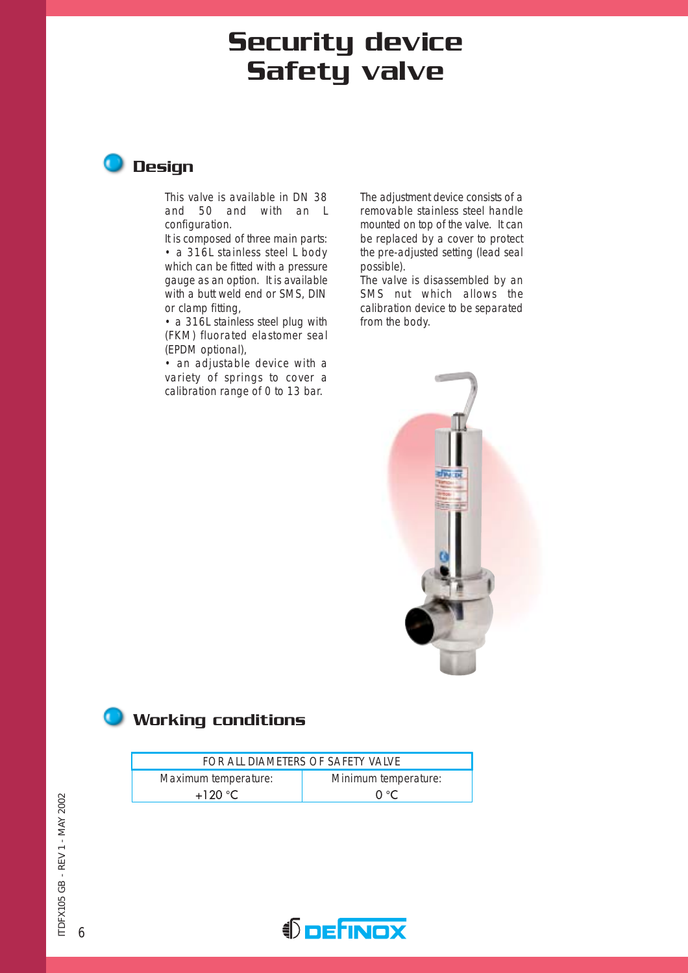# Security device Safety valve



This valve is available in DN 38 and 50 and with an L configuration.

It is composed of three main parts: • a 316L stainless steel L body which can be fitted with a pressure gauge as an option. It is available with a butt weld end or SMS, DIN or clamp fitting,

• a 316L stainless steel plug with (FKM) fluorated elastomer seal (EPDM optional),

• an adjustable device with a variety of springs to cover a calibration range of 0 to 13 bar.

The adjustment device consists of a removable stainless steel handle mounted on top of the valve. It can be replaced by a cover to protect the pre-adjusted setting (lead seal possible).

The valve is disassembled by an SMS nut which allows the calibration device to be separated from the body.



### **Working conditions**

| FOR ALL DIAMETERS OF SAFETY VALVE |                      |  |  |  |  |  |
|-----------------------------------|----------------------|--|--|--|--|--|
| Maximum temperature:              | Minimum temperature: |  |  |  |  |  |
| $+120$ °C                         | ∩ ∘ $\subset$        |  |  |  |  |  |

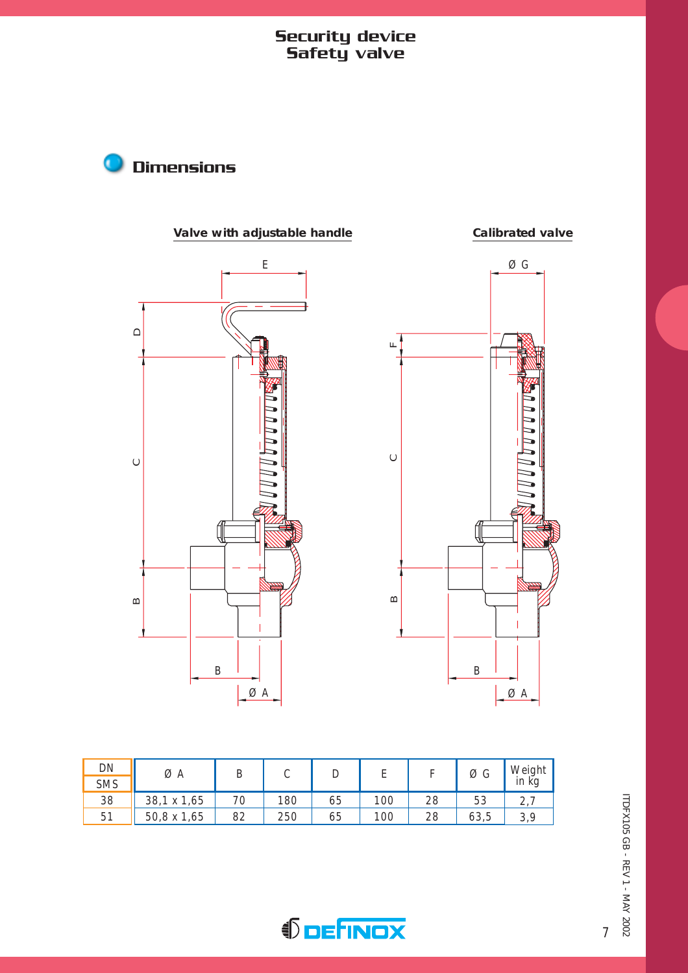#### Security device Safety valve





| DN         |             | ØΑ<br>◡ |     |    |     |    | ØG   | Weight                |
|------------|-------------|---------|-----|----|-----|----|------|-----------------------|
| <b>SMS</b> |             |         | ◡   | ◡  |     |    |      | in kg                 |
| 38         | 38,1 x 1,65 | 70      | 180 | 65 | 100 | 28 | 53   | $\mathcal{L}_{\perp}$ |
| 51         | 50,8 x 1,65 | 82      | 250 | 65 | 100 | 28 | 63,5 | 3,9                   |



*<u>DEFINOX</u>* 

7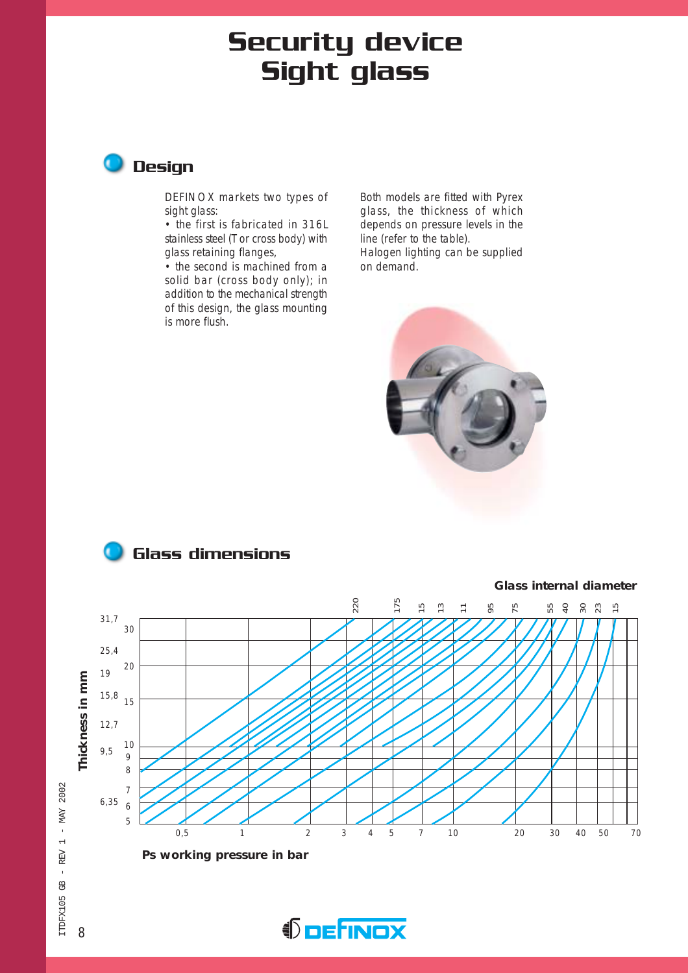# Security device Sight glass



DEFINOX markets two types of sight glass:

• the first is fabricated in 316L stainless steel (T or cross body) with glass retaining flanges,

• the second is machined from a solid bar (cross body only); in addition to the mechanical strength of this design, the glass mounting is more flush.

Both models are fitted with Pyrex glass, the thickness of which depends on pressure levels in the line (refer to the table). Halogen lighting can be supplied on demand.









ITDFX105 GB - REV 1 - MAY 2002 ITDFX105 GB - REV 1 - MAY 2002

8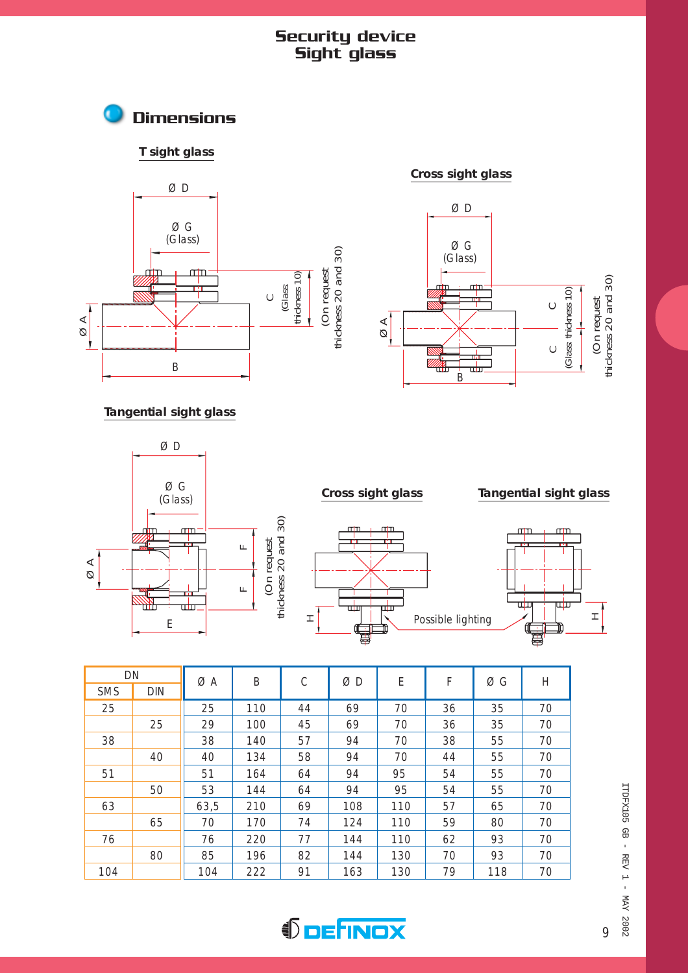#### Security device Sight glass









**Cross sight glass**

#### **Tangential sight glass**







| DN         |            | ØΑ   | B   | $\mathsf{C}$ | ØΒ  | E   | F  | ØG  | Η  |
|------------|------------|------|-----|--------------|-----|-----|----|-----|----|
| <b>SMS</b> | <b>DIN</b> |      |     |              |     |     |    |     |    |
| 25         |            | 25   | 110 | 44           | 69  | 70  | 36 | 35  | 70 |
|            | 25         | 29   | 100 | 45           | 69  | 70  | 36 | 35  | 70 |
| 38         |            | 38   | 140 | 57           | 94  | 70  | 38 | 55  | 70 |
|            | 40         | 40   | 134 | 58           | 94  | 70  | 44 | 55  | 70 |
| 51         |            | 51   | 164 | 64           | 94  | 95  | 54 | 55  | 70 |
|            | 50         | 53   | 144 | 64           | 94  | 95  | 54 | 55  | 70 |
| 63         |            | 63,5 | 210 | 69           | 108 | 110 | 57 | 65  | 70 |
|            | 65         | 70   | 170 | 74           | 124 | 110 | 59 | 80  | 70 |
| 76         |            | 76   | 220 | 77           | 144 | 110 | 62 | 93  | 70 |
|            | 80         | 85   | 196 | 82           | 144 | 130 | 70 | 93  | 70 |
| 104        |            | 104  | 222 | 91           | 163 | 130 | 79 | 118 | 70 |

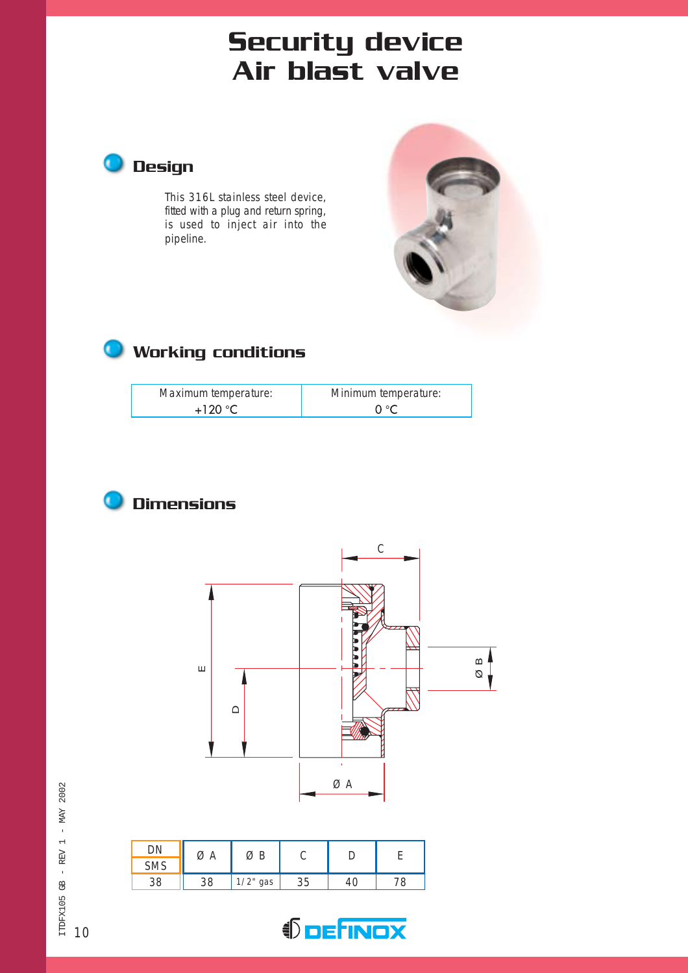# Air blast valve



This 316L stainless steel device, fitted with a plug and return spring, is used to inject air into the pipeline.



## **O** Working conditions

| Maximum temperature: | Minimum temperature: |
|----------------------|----------------------|
| $+120$ °C            | ∩∘⊂                  |





|            |    | ØΒ          |    |  |
|------------|----|-------------|----|--|
| <b>SMS</b> |    |             |    |  |
| 20         | 38 | $1/2$ " gas | 35 |  |